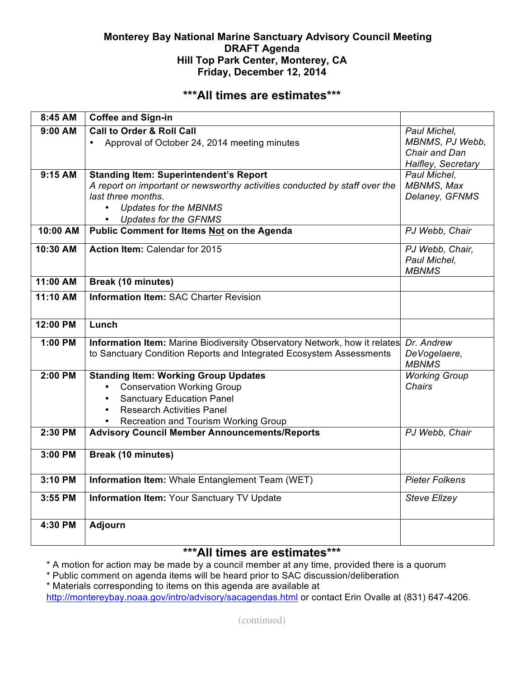## **Monterey Bay National Marine Sanctuary Advisory Council Meeting DRAFT Agenda Hill Top Park Center, Monterey, CA Friday, December 12, 2014**

## **\*\*\*All times are estimates\*\*\***

| 8:45 AM   | <b>Coffee and Sign-in</b>                                                                                                                                                                                                                            |                                                                        |
|-----------|------------------------------------------------------------------------------------------------------------------------------------------------------------------------------------------------------------------------------------------------------|------------------------------------------------------------------------|
| $9:00$ AM | <b>Call to Order &amp; Roll Call</b><br>Approval of October 24, 2014 meeting minutes<br>$\bullet$                                                                                                                                                    | Paul Michel.<br>MBNMS, PJ Webb,<br>Chair and Dan<br>Haifley, Secretary |
| 9:15 AM   | <b>Standing Item: Superintendent's Report</b><br>A report on important or newsworthy activities conducted by staff over the<br>last three months.<br><b>Updates for the MBNMS</b><br>$\bullet$<br><b>Updates for the GFNMS</b>                       | Paul Michel,<br>MBNMS, Max<br>Delaney, GFNMS                           |
| 10:00 AM  | Public Comment for Items Not on the Agenda                                                                                                                                                                                                           | PJ Webb, Chair                                                         |
| 10:30 AM  | <b>Action Item: Calendar for 2015</b>                                                                                                                                                                                                                | PJ Webb, Chair,<br>Paul Michel,<br><b>MBNMS</b>                        |
| 11:00 AM  | <b>Break (10 minutes)</b>                                                                                                                                                                                                                            |                                                                        |
| 11:10 AM  | <b>Information Item: SAC Charter Revision</b>                                                                                                                                                                                                        |                                                                        |
| 12:00 PM  | Lunch                                                                                                                                                                                                                                                |                                                                        |
| 1:00 PM   | Information Item: Marine Biodiversity Observatory Network, how it relates<br>to Sanctuary Condition Reports and Integrated Ecosystem Assessments                                                                                                     | Dr. Andrew<br>DeVogelaere,<br><b>MBNMS</b>                             |
| 2:00 PM   | <b>Standing Item: Working Group Updates</b><br><b>Conservation Working Group</b><br>$\bullet$<br><b>Sanctuary Education Panel</b><br>$\bullet$<br><b>Research Activities Panel</b><br>$\bullet$<br>Recreation and Tourism Working Group<br>$\bullet$ | <b>Working Group</b><br><b>Chairs</b>                                  |
| 2:30 PM   | <b>Advisory Council Member Announcements/Reports</b>                                                                                                                                                                                                 | PJ Webb, Chair                                                         |
| 3:00 PM   | Break (10 minutes)                                                                                                                                                                                                                                   |                                                                        |
| 3:10 PM   | Information Item: Whale Entanglement Team (WET)                                                                                                                                                                                                      | <b>Pieter Folkens</b>                                                  |
| 3:55 PM   | <b>Information Item: Your Sanctuary TV Update</b>                                                                                                                                                                                                    | <b>Steve Elizey</b>                                                    |
| 4:30 PM   | <b>Adjourn</b>                                                                                                                                                                                                                                       |                                                                        |

# **\*\*\*All times are estimates\*\*\***

\* A motion for action may be made by a council member at any time, provided there is a quorum

\* Public comment on agenda items will be heard prior to SAC discussion/deliberation

\* Materials corresponding to items on this agenda are available at http://montereybay.noaa.gov/intro/advisory/sacagendas.html or contact Erin Ovalle at (831) 647-4206.